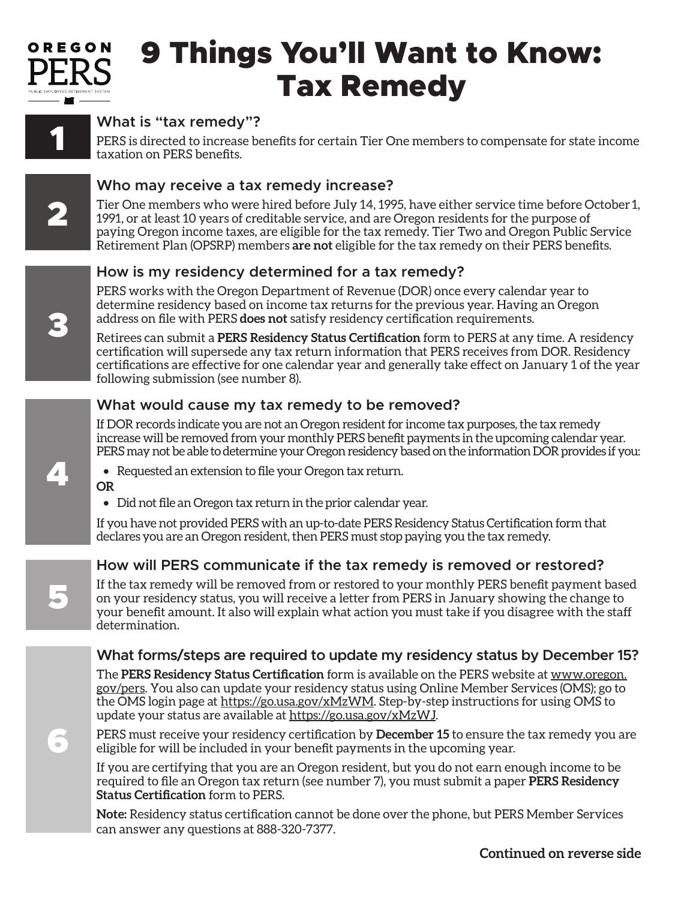

# 9 Things You'll Want to Know: Tax Remedy



# **What is "tax remedy"?**

PERS is directed to increase benefits for certain Tier One members to compensate for state income taxation on PERS benefits.



3

## **Who may receive a tax remedy increase?**

Tier One members who were hired before July 14, 1995, have either service time before October 1, 1991, or at least 10 years of creditable service, and are Oregon residents for the purpose of paying Oregon income taxes, are eligible for the tax remedy. Tier Two and Oregon Public Service Retirement Plan (OPSRP) members **are not** eligible for the tax remedy on their PERS benefits.

### **How is my residency determined for a tax remedy?**

PERS works with the Oregon Department of Revenue (DOR) once every calendar year to determine residency based on income tax returns for the previous year. Having an Oregon address on file with PERS **does not** satisfy residency certification requirements.

Retirees can submit a **PERS Residency Status Certification** form to PERS at any time. A residency certification will supersede any tax return information that PERS receives from DOR. Residency certifications are effective for one calendar year and generally take effect on January 1 of the year following submission (see number 8).

### **What would cause my tax remedy to be removed?**

If DOR records indicate you are not an Oregon resident for income tax purposes, the tax remedy increase will be removed from your monthly PERS benefit payments in the upcoming calendar year. PERS may not be able to determine your Oregon residency based on the information DOR provides if you:



5

6

- Requested an extension to file your Oregon tax return. **OR**
- Did not file an Oregon tax return in the prior calendar year.

If you have not provided PERS with an up-to-date PERS Residency Status Certification form that declares you are an Oregon resident, then PERS must stop paying you the tax remedy.

### **How will PERS communicate if the tax remedy is removed or restored?**

If the tax remedy will be removed from or restored to your monthly PERS benefit payment based on your residency status, you will receive a letter from PERS in January showing the change to your benefit amount. It also will explain what action you must take if you disagree with the staff determination.

### **What forms/steps are required to update my residency status by December 15?**

The **PERS Residency Status Certification** form is available on the PERS website at www.oregon. gov/pers. You also can update your residency status using Online Member Services (OMS); go to the OMS login page at https://go.usa.gov/xMzWM. Step-by-step instructions for using OMS to update your status are available at https://go.usa.gov/xMzWJ.

PERS must receive your residency certification by **December 15** to ensure the tax remedy you are eligible for will be included in your benefit payments in the upcoming year.

If you are certifying that you are an Oregon resident, but you do not earn enough income to be required to file an Oregon tax return (see number 7), you must submit a paper **PERS Residency Status Certification** form to PERS.

**Note:** Residency status certification cannot be done over the phone, but PERS Member Services can answer any questions at 888-320-7377.